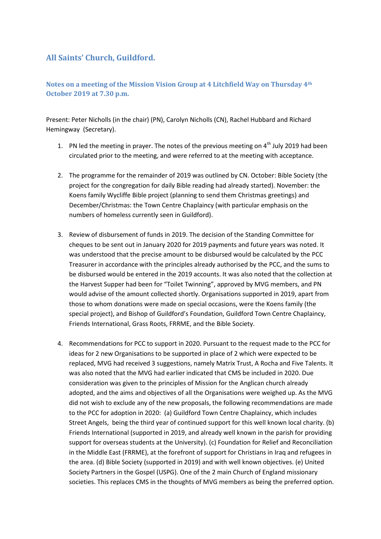## **All Saints' Church, Guildford.**

## **Notes on a meeting of the Mission Vision Group at 4 Litchfield Way on Thursday 4th October 2019 at 7.30 p.m.**

Present: Peter Nicholls (in the chair) (PN), Carolyn Nicholls (CN), Rachel Hubbard and Richard Hemingway (Secretary).

- 1. PN led the meeting in prayer. The notes of the previous meeting on  $4<sup>th</sup>$  July 2019 had been circulated prior to the meeting, and were referred to at the meeting with acceptance.
- 2. The programme for the remainder of 2019 was outlined by CN. October: Bible Society (the project for the congregation for daily Bible reading had already started). November: the Koens family Wycliffe Bible project (planning to send them Christmas greetings) and December/Christmas: the Town Centre Chaplaincy (with particular emphasis on the numbers of homeless currently seen in Guildford).
- 3. Review of disbursement of funds in 2019. The decision of the Standing Committee for cheques to be sent out in January 2020 for 2019 payments and future years was noted. It was understood that the precise amount to be disbursed would be calculated by the PCC Treasurer in accordance with the principles already authorised by the PCC, and the sums to be disbursed would be entered in the 2019 accounts. It was also noted that the collection at the Harvest Supper had been for "Toilet Twinning", approved by MVG members, and PN would advise of the amount collected shortly. Organisations supported in 2019, apart from those to whom donations were made on special occasions, were the Koens family (the special project), and Bishop of Guildford's Foundation, Guildford Town Centre Chaplaincy, Friends International, Grass Roots, FRRME, and the Bible Society.
- 4. Recommendations for PCC to support in 2020. Pursuant to the request made to the PCC for ideas for 2 new Organisations to be supported in place of 2 which were expected to be replaced, MVG had received 3 suggestions, namely Matrix Trust, A Rocha and Five Talents. It was also noted that the MVG had earlier indicated that CMS be included in 2020. Due consideration was given to the principles of Mission for the Anglican church already adopted, and the aims and objectives of all the Organisations were weighed up. As the MVG did not wish to exclude any of the new proposals, the following recommendations are made to the PCC for adoption in 2020: (a) Guildford Town Centre Chaplaincy, which includes Street Angels, being the third year of continued support for this well known local charity. (b) Friends International (supported in 2019, and already well known in the parish for providing support for overseas students at the University). (c) Foundation for Relief and Reconciliation in the Middle East (FRRME), at the forefront of support for Christians in Iraq and refugees in the area. (d) Bible Society (supported in 2019) and with well known objectives. (e) United Society Partners in the Gospel (USPG). One of the 2 main Church of England missionary societies. This replaces CMS in the thoughts of MVG members as being the preferred option.